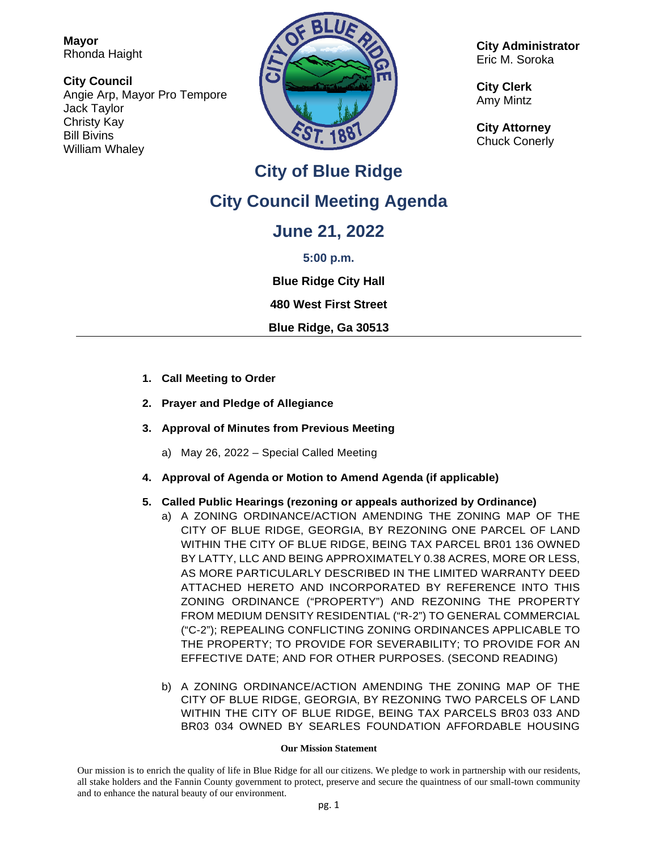**Mayor** Rhonda Haight

**City Council** Angie Arp, Mayor Pro Tempore Jack Taylor Christy Kay Bill Bivins William Whaley



**City Administrator** Eric M. Soroka

**City Clerk** Amy Mintz

**City Attorney** Chuck Conerly

# **City of Blue Ridge**

## **City Council Meeting Agenda**

### **June 21, 2022**

**5:00 p.m.**

**Blue Ridge City Hall**

**480 West First Street**

**Blue Ridge, Ga 30513**

- **1. Call Meeting to Order**
- **2. Prayer and Pledge of Allegiance**
- **3. Approval of Minutes from Previous Meeting**
	- a) May 26, 2022 Special Called Meeting
- **4. Approval of Agenda or Motion to Amend Agenda (if applicable)**

### **5. Called Public Hearings (rezoning or appeals authorized by Ordinance)**

- a) A ZONING ORDINANCE/ACTION AMENDING THE ZONING MAP OF THE CITY OF BLUE RIDGE, GEORGIA, BY REZONING ONE PARCEL OF LAND WITHIN THE CITY OF BLUE RIDGE, BEING TAX PARCEL BR01 136 OWNED BY LATTY, LLC AND BEING APPROXIMATELY 0.38 ACRES, MORE OR LESS, AS MORE PARTICULARLY DESCRIBED IN THE LIMITED WARRANTY DEED ATTACHED HERETO AND INCORPORATED BY REFERENCE INTO THIS ZONING ORDINANCE ("PROPERTY") AND REZONING THE PROPERTY FROM MEDIUM DENSITY RESIDENTIAL ("R-2") TO GENERAL COMMERCIAL ("C-2"); REPEALING CONFLICTING ZONING ORDINANCES APPLICABLE TO THE PROPERTY; TO PROVIDE FOR SEVERABILITY; TO PROVIDE FOR AN EFFECTIVE DATE; AND FOR OTHER PURPOSES. (SECOND READING)
- b) A ZONING ORDINANCE/ACTION AMENDING THE ZONING MAP OF THE CITY OF BLUE RIDGE, GEORGIA, BY REZONING TWO PARCELS OF LAND WITHIN THE CITY OF BLUE RIDGE, BEING TAX PARCELS BR03 033 AND BR03 034 OWNED BY SEARLES FOUNDATION AFFORDABLE HOUSING

#### **Our Mission Statement**

Our mission is to enrich the quality of life in Blue Ridge for all our citizens. We pledge to work in partnership with our residents, all stake holders and the Fannin County government to protect, preserve and secure the quaintness of our small-town community and to enhance the natural beauty of our environment.